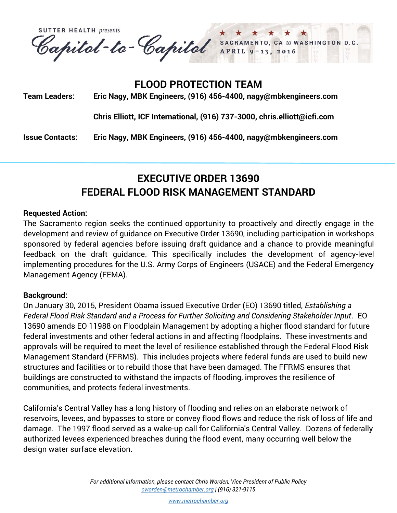**SUTTER HEALTH presents** Capital-te-Capital SACRAMENTO, CA to WASHINGTON D.C.

## **FLOOD PROTECTION TEAM**

**Team Leaders: Eric Nagy, MBK Engineers, (916) 456-4400, nagy@mbkengineers.com**

**Chris Elliott, ICF International, (916) 737-3000, chris.elliott@icfi.com**

**Issue Contacts: Eric Nagy, MBK Engineers, (916) 456-4400, nagy@mbkengineers.com**

# **EXECUTIVE ORDER 13690 FEDERAL FLOOD RISK MANAGEMENT STANDARD**

### **Requested Action:**

The Sacramento region seeks the continued opportunity to proactively and directly engage in the development and review of guidance on Executive Order 13690, including participation in workshops sponsored by federal agencies before issuing draft guidance and a chance to provide meaningful feedback on the draft guidance. This specifically includes the development of agency-level implementing procedures for the U.S. Army Corps of Engineers (USACE) and the Federal Emergency Management Agency (FEMA).

### **Background:**

On January 30, 2015, President Obama issued Executive Order (EO) 13690 titled, *Establishing a Federal Flood Risk Standard and a Process for Further Soliciting and Considering Stakeholder Input*. EO 13690 amends EO 11988 on Floodplain Management by adopting a higher flood standard for future federal investments and other federal actions in and affecting floodplains. These investments and approvals will be required to meet the level of resilience established through the Federal Flood Risk Management Standard (FFRMS). This includes projects where federal funds are used to build new structures and facilities or to rebuild those that have been damaged. The FFRMS ensures that buildings are constructed to withstand the impacts of flooding, improves the resilience of communities, and protects federal investments.

California's Central Valley has a long history of flooding and relies on an elaborate network of reservoirs, levees, and bypasses to store or convey flood flows and reduce the risk of loss of life and damage. The 1997 flood served as a wake-up call for California's Central Valley. Dozens of federally authorized levees experienced breaches during the flood event, many occurring well below the design water surface elevation.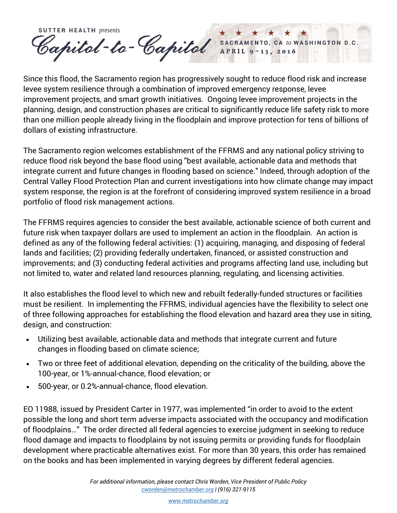**SUTTER HEALTH presents** Capitel-te-Capitel SACRAMENTO, CA to WASHINGTON D.C.

Since this flood, the Sacramento region has progressively sought to reduce flood risk and increase levee system resilience through a combination of improved emergency response, levee improvement projects, and smart growth initiatives. Ongoing levee improvement projects in the planning, design, and construction phases are critical to significantly reduce life safety risk to more than one million people already living in the floodplain and improve protection for tens of billions of dollars of existing infrastructure.

The Sacramento region welcomes establishment of the FFRMS and any national policy striving to reduce flood risk beyond the base flood using "best available, actionable data and methods that integrate current and future changes in flooding based on science." Indeed, through adoption of the Central Valley Flood Protection Plan and current investigations into how climate change may impact system response, the region is at the forefront of considering improved system resilience in a broad portfolio of flood risk management actions.

The FFRMS requires agencies to consider the best available, actionable science of both current and future risk when taxpayer dollars are used to implement an action in the floodplain. An action is defined as any of the following federal activities: (1) acquiring, managing, and disposing of federal lands and facilities; (2) providing federally undertaken, financed, or assisted construction and improvements; and (3) conducting federal activities and programs affecting land use, including but not limited to, water and related land resources planning, regulating, and licensing activities.

It also establishes the flood level to which new and rebuilt federally-funded structures or facilities must be resilient. In implementing the FFRMS, individual agencies have the flexibility to select one of three following approaches for establishing the flood elevation and hazard area they use in siting, design, and construction:

- Utilizing best available, actionable data and methods that integrate current and future changes in flooding based on climate science;
- Two or three feet of additional elevation, depending on the criticality of the building, above the 100-year, or 1%-annual-chance, flood elevation; or
- 500-year, or 0.2%-annual-chance, flood elevation.

EO 11988, issued by President Carter in 1977, was implemented "in order to avoid to the extent possible the long and short term adverse impacts associated with the occupancy and modification of floodplains…" The order directed all federal agencies to exercise judgment in seeking to reduce flood damage and impacts to floodplains by not issuing permits or providing funds for floodplain development where practicable alternatives exist. For more than 30 years, this order has remained on the books and has been implemented in varying degrees by different federal agencies.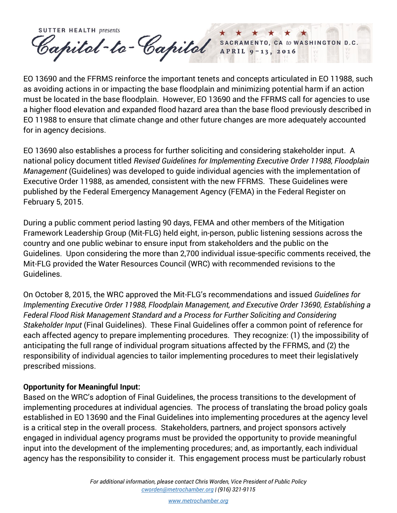**SUTTER HEALTH presents** Capital-te-Capital SACRAMENTO, CA to WASHINGTON D.C.

EO 13690 and the FFRMS reinforce the important tenets and concepts articulated in EO 11988, such as avoiding actions in or impacting the base floodplain and minimizing potential harm if an action must be located in the base floodplain. However, EO 13690 and the FFRMS call for agencies to use a higher flood elevation and expanded flood hazard area than the base flood previously described in EO 11988 to ensure that climate change and other future changes are more adequately accounted for in agency decisions.

EO 13690 also establishes a process for further soliciting and considering stakeholder input. A national policy document titled *Revised Guidelines for Implementing Executive Order 11988, Floodplain Management* (Guidelines) was developed to guide individual agencies with the implementation of Executive Order 11988, as amended, consistent with the new FFRMS. These Guidelines were published by the Federal Emergency Management Agency (FEMA) in the Federal Register on February 5, 2015.

During a public comment period lasting 90 days, FEMA and other members of the Mitigation Framework Leadership Group (Mit-FLG) held eight, in-person, public listening sessions across the country and one public webinar to ensure input from stakeholders and the public on the Guidelines. Upon considering the more than 2,700 individual issue-specific comments received, the Mit-FLG provided the Water Resources Council (WRC) with recommended revisions to the Guidelines.

On October 8, 2015, the WRC approved the Mit-FLG's recommendations and issued *Guidelines for Implementing Executive Order 11988, Floodplain Management, and Executive Order 13690, Establishing a Federal Flood Risk Management Standard and a Process for Further Soliciting and Considering Stakeholder Input* (Final Guidelines).These Final Guidelines offer a common point of reference for each affected agency to prepare implementing procedures. They recognize: (1) the impossibility of anticipating the full range of individual program situations affected by the FFRMS, and (2) the responsibility of individual agencies to tailor implementing procedures to meet their legislatively prescribed missions.

### **Opportunity for Meaningful Input:**

Based on the WRC's adoption of Final Guidelines, the process transitions to the development of implementing procedures at individual agencies. The process of translating the broad policy goals established in EO 13690 and the Final Guidelines into implementing procedures at the agency level is a critical step in the overall process. Stakeholders, partners, and project sponsors actively engaged in individual agency programs must be provided the opportunity to provide meaningful input into the development of the implementing procedures; and, as importantly, each individual agency has the responsibility to consider it. This engagement process must be particularly robust

*[www.metrochamber.org](http://www.metrochamber.org/)*